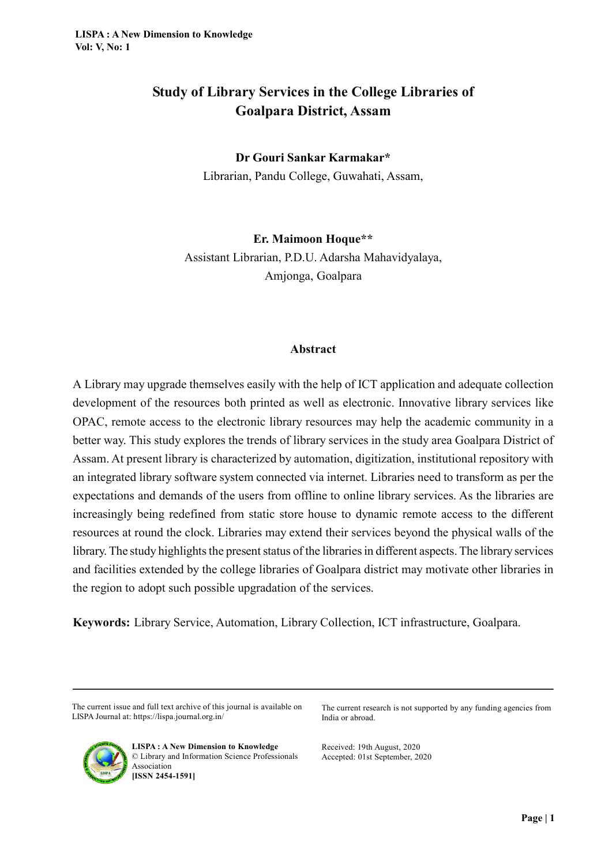# Study of Library Services in the College Libraries of Goalpara District, Assam

## Dr Gouri Sankar Karmakar\*

Librarian, Pandu College, Guwahati, Assam,

Er. Maimoon Hoque\*\*

Assistant Librarian, P.D.U. Adarsha Mahavidyalaya, Amjonga, Goalpara

#### Abstract

A Library may upgrade themselves easily with the help of ICT application and adequate collection development of the resources both printed as well as electronic. Innovative library services like OPAC, remote access to the electronic library resources may help the academic community in a better way. This study explores the trends of library services in the study area Goalpara District of Assam. At present library is characterized by automation, digitization, institutional repository with an integrated library software system connected via internet. Libraries need to transform as per the expectations and demands of the users from offline to online library services. As the libraries are increasingly being redefined from static store house to dynamic remote access to the different resources at round the clock. Libraries may extend their services beyond the physical walls of the library. The study highlights the present status of the libraries in different aspects. The library services and facilities extended by the college libraries of Goalpara district may motivate other libraries in the region to adopt such possible upgradation of the services.

Keywords: Library Service, Automation, Library Collection, ICT infrastructure, Goalpara.

The current issue and full text archive of this journal is available on LISPA Journal at: https://lispa.journal.org.in/

The current research is not supported by any funding agencies from India or abroad.



LISPA : A New Dimension to Knowledge © Library and Information Science Professionals Association [ISSN 2454-1591]

Received: 19th August, 2020 Accepted: 01st September, 2020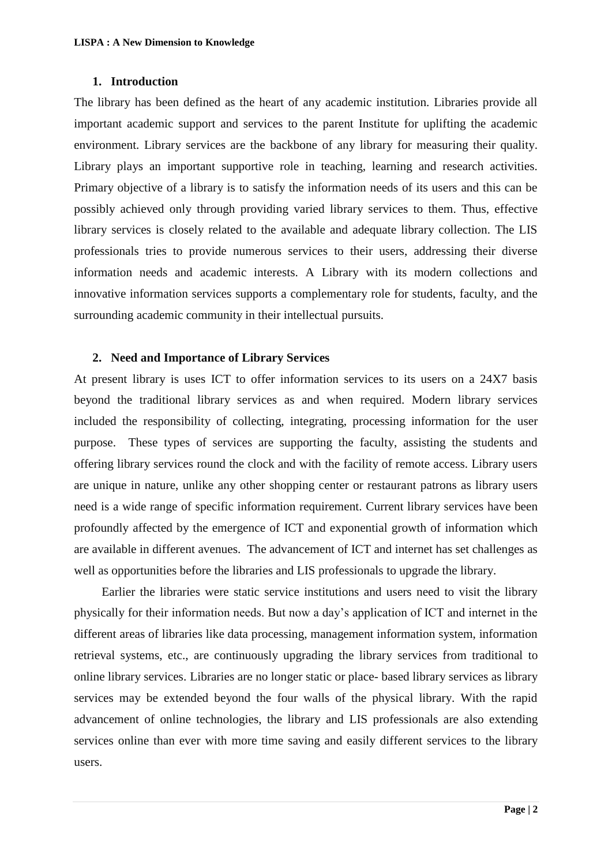#### **1. Introduction**

The library has been defined as the heart of any academic institution. Libraries provide all important academic support and services to the parent Institute for uplifting the academic environment. Library services are the backbone of any library for measuring their quality. Library plays an important supportive role in teaching, learning and research activities. Primary objective of a library is to satisfy the information needs of its users and this can be possibly achieved only through providing varied library services to them. Thus, effective library services is closely related to the available and adequate library collection. The LIS professionals tries to provide numerous services to their users, addressing their diverse information needs and academic interests. A Library with its modern collections and innovative information services supports a complementary role for students, faculty, and the surrounding academic community in their intellectual pursuits.

#### **2. Need and Importance of Library Services**

At present library is uses ICT to offer information services to its users on a 24X7 basis beyond the traditional library services as and when required. Modern library services included the responsibility of collecting, integrating, processing information for the user purpose. These types of services are supporting the faculty, assisting the students and offering library services round the clock and with the facility of remote access. Library users are unique in nature, unlike any other shopping center or restaurant patrons as library users need is a wide range of specific information requirement. Current library services have been profoundly affected by the emergence of ICT and exponential growth of information which are available in different avenues. The advancement of ICT and internet has set challenges as well as opportunities before the libraries and LIS professionals to upgrade the library.

 Earlier the libraries were static service institutions and users need to visit the library physically for their information needs. But now a day"s application of ICT and internet in the different areas of libraries like data processing, management information system, information retrieval systems, etc., are continuously upgrading the library services from traditional to online library services. Libraries are no longer static or place- based library services as library services may be extended beyond the four walls of the physical library. With the rapid advancement of online technologies, the library and LIS professionals are also extending services online than ever with more time saving and easily different services to the library users.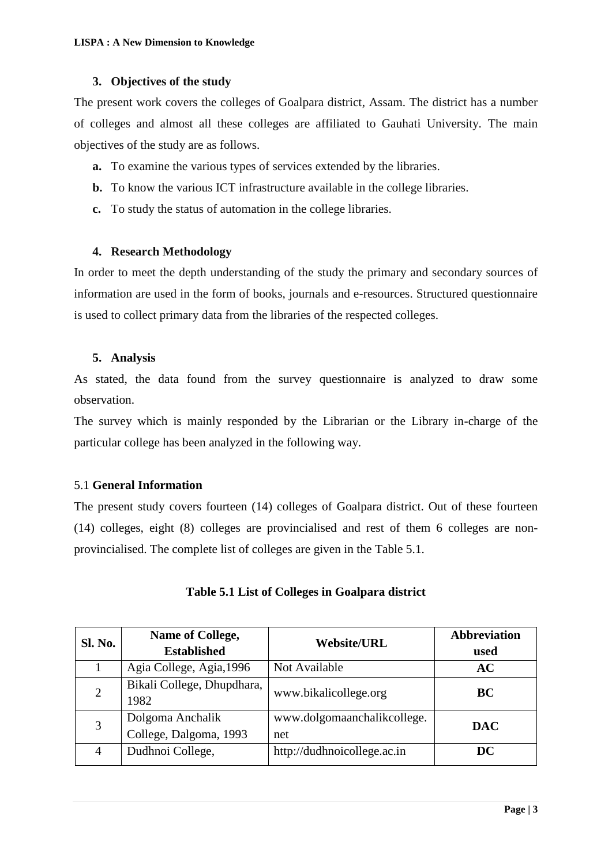### **3. Objectives of the study**

The present work covers the colleges of Goalpara district, Assam. The district has a number of colleges and almost all these colleges are affiliated to Gauhati University. The main objectives of the study are as follows.

- **a.** To examine the various types of services extended by the libraries.
- **b.** To know the various ICT infrastructure available in the college libraries.
- **c.** To study the status of automation in the college libraries.

### **4. Research Methodology**

In order to meet the depth understanding of the study the primary and secondary sources of information are used in the form of books, journals and e-resources. Structured questionnaire is used to collect primary data from the libraries of the respected colleges.

### **5. Analysis**

As stated, the data found from the survey questionnaire is analyzed to draw some observation.

The survey which is mainly responded by the Librarian or the Library in-charge of the particular college has been analyzed in the following way.

### 5.1 **General Information**

The present study covers fourteen (14) colleges of Goalpara district. Out of these fourteen (14) colleges, eight (8) colleges are provincialised and rest of them 6 colleges are nonprovincialised. The complete list of colleges are given in the Table 5.1.

| <b>Sl. No.</b> | Name of College,<br><b>Established</b>     | <b>Website/URL</b>                 | <b>Abbreviation</b><br>used |
|----------------|--------------------------------------------|------------------------------------|-----------------------------|
|                | Agia College, Agia, 1996                   | Not Available                      | AC                          |
| $\overline{2}$ | Bikali College, Dhupdhara,<br>1982         | www.bikalicollege.org              | <b>BC</b>                   |
| 3              | Dolgoma Anchalik<br>College, Dalgoma, 1993 | www.dolgomaanchalikcollege.<br>net | <b>DAC</b>                  |
| 4              | Dudhnoi College,                           | http://dudhnoicollege.ac.in        | DC                          |

### **Table 5.1 List of Colleges in Goalpara district**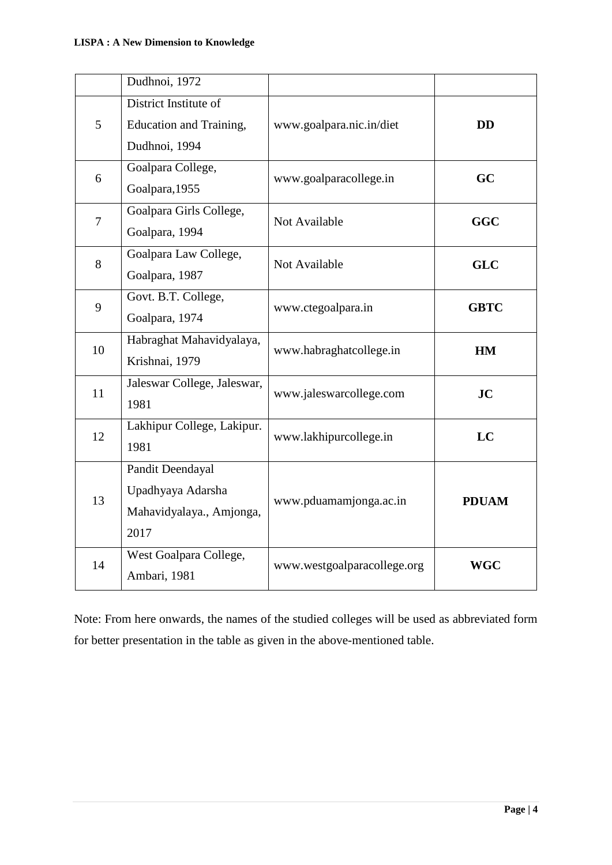|                | Dudhnoi, 1972               |                             |              |  |
|----------------|-----------------------------|-----------------------------|--------------|--|
|                | District Institute of       |                             |              |  |
| 5              | Education and Training,     | www.goalpara.nic.in/diet    | <b>DD</b>    |  |
|                | Dudhnoi, 1994               |                             |              |  |
| 6              | Goalpara College,           | www.goalparacollege.in      | GC           |  |
|                | Goalpara, 1955              |                             |              |  |
| $\overline{7}$ | Goalpara Girls College,     | Not Available               | <b>GGC</b>   |  |
|                | Goalpara, 1994              |                             |              |  |
| 8              | Goalpara Law College,       | Not Available               | <b>GLC</b>   |  |
|                | Goalpara, 1987              |                             |              |  |
| 9              | Govt. B.T. College,         | www.ctegoalpara.in          | <b>GBTC</b>  |  |
|                | Goalpara, 1974              |                             |              |  |
| 10             | Habraghat Mahavidyalaya,    | www.habraghatcollege.in     | <b>HM</b>    |  |
|                | Krishnai, 1979              |                             |              |  |
| 11             | Jaleswar College, Jaleswar, | www.jaleswarcollege.com     | JC           |  |
|                | 1981                        |                             |              |  |
| 12             | Lakhipur College, Lakipur.  | www.lakhipurcollege.in      | LC           |  |
|                | 1981                        |                             |              |  |
|                | Pandit Deendayal            |                             |              |  |
| 13             | Upadhyaya Adarsha           | www.pduamamjonga.ac.in      | <b>PDUAM</b> |  |
|                | Mahavidyalaya., Amjonga,    |                             |              |  |
|                | 2017                        |                             |              |  |
| 14             | West Goalpara College,      | www.westgoalparacollege.org | <b>WGC</b>   |  |
|                | Ambari, 1981                |                             |              |  |

Note: From here onwards, the names of the studied colleges will be used as abbreviated form for better presentation in the table as given in the above-mentioned table.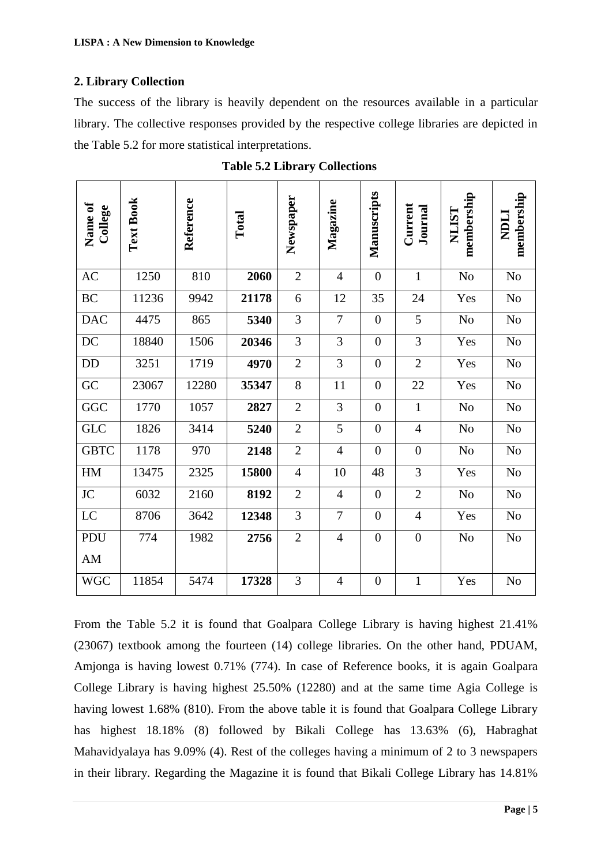## **2. Library Collection**

The success of the library is heavily dependent on the resources available in a particular library. The collective responses provided by the respective college libraries are depicted in the Table 5.2 for more statistical interpretations.

| <b>Name of</b><br>College | Text Book | Reference | Total | Newspaper      | Magazine       | Manuscripts    | Current<br>Journal | membership<br><b>NLIST</b> | membership<br><b>NDLI</b> |
|---------------------------|-----------|-----------|-------|----------------|----------------|----------------|--------------------|----------------------------|---------------------------|
| AC                        | 1250      | 810       | 2060  | $\overline{2}$ | $\overline{4}$ | $\overline{0}$ | $\mathbf{1}$       | N <sub>o</sub>             | N <sub>o</sub>            |
| <b>BC</b>                 | 11236     | 9942      | 21178 | 6              | 12             | 35             | 24                 | Yes                        | N <sub>o</sub>            |
| <b>DAC</b>                | 4475      | 865       | 5340  | 3              | $\overline{7}$ | $\overline{0}$ | 5                  | No                         | N <sub>o</sub>            |
| DC                        | 18840     | 1506      | 20346 | $\overline{3}$ | 3              | $\overline{0}$ | 3                  | Yes                        | N <sub>o</sub>            |
| DD                        | 3251      | 1719      | 4970  | $\overline{2}$ | 3              | $\overline{0}$ | $\overline{2}$     | Yes                        | N <sub>o</sub>            |
| GC                        | 23067     | 12280     | 35347 | 8              | 11             | $\overline{0}$ | 22                 | Yes                        | N <sub>o</sub>            |
| GGC                       | 1770      | 1057      | 2827  | $\overline{2}$ | 3              | $\overline{0}$ | $\mathbf{1}$       | N <sub>o</sub>             | N <sub>o</sub>            |
| <b>GLC</b>                | 1826      | 3414      | 5240  | $\mathbf{2}$   | 5              | $\overline{0}$ | $\overline{4}$     | N <sub>o</sub>             | N <sub>o</sub>            |
| <b>GBTC</b>               | 1178      | 970       | 2148  | $\overline{2}$ | 4              | $\overline{0}$ | $\overline{0}$     | N <sub>o</sub>             | N <sub>o</sub>            |
| HM                        | 13475     | 2325      | 15800 | $\overline{4}$ | 10             | 48             | 3                  | Yes                        | N <sub>o</sub>            |
| JC                        | 6032      | 2160      | 8192  | $\overline{2}$ | $\overline{4}$ | $\overline{0}$ | $\overline{2}$     | No                         | N <sub>o</sub>            |
| LC                        | 8706      | 3642      | 12348 | 3              | $\tau$         | $\overline{0}$ | $\overline{4}$     | Yes                        | N <sub>o</sub>            |
| PDU                       | 774       | 1982      | 2756  | $\overline{2}$ | $\overline{4}$ | $\overline{0}$ | $\boldsymbol{0}$   | No                         | N <sub>o</sub>            |
| AM                        |           |           |       |                |                |                |                    |                            |                           |
| <b>WGC</b>                | 11854     | 5474      | 17328 | 3              | $\overline{4}$ | $\overline{0}$ | $\mathbf{1}$       | Yes                        | N <sub>o</sub>            |

 **Table 5.2 Library Collections** 

From the Table 5.2 it is found that Goalpara College Library is having highest 21.41% (23067) textbook among the fourteen (14) college libraries. On the other hand, PDUAM, Amjonga is having lowest 0.71% (774). In case of Reference books, it is again Goalpara College Library is having highest 25.50% (12280) and at the same time Agia College is having lowest 1.68% (810). From the above table it is found that Goalpara College Library has highest 18.18% (8) followed by Bikali College has 13.63% (6), Habraghat Mahavidyalaya has 9.09% (4). Rest of the colleges having a minimum of 2 to 3 newspapers in their library. Regarding the Magazine it is found that Bikali College Library has 14.81%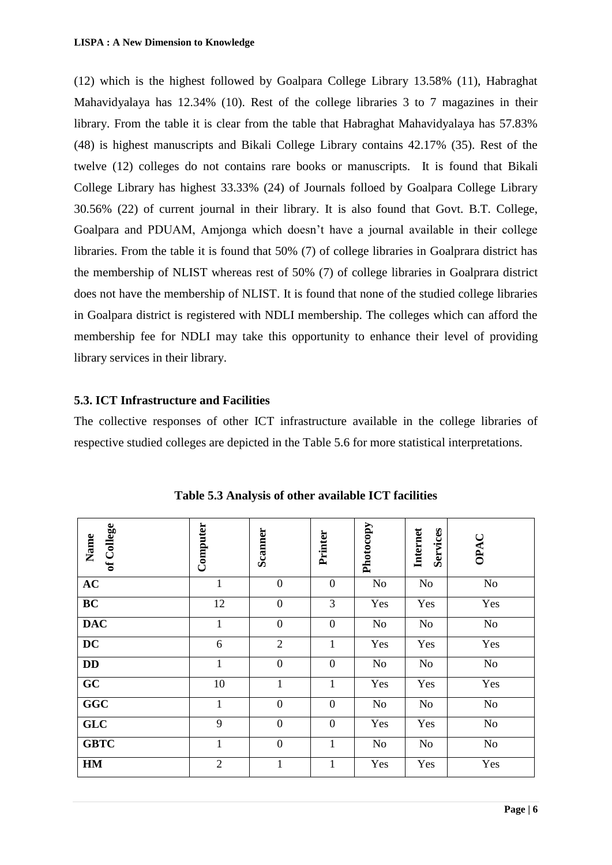(12) which is the highest followed by Goalpara College Library 13.58% (11), Habraghat Mahavidyalaya has 12.34% (10). Rest of the college libraries 3 to 7 magazines in their library. From the table it is clear from the table that Habraghat Mahavidyalaya has 57.83% (48) is highest manuscripts and Bikali College Library contains 42.17% (35). Rest of the twelve (12) colleges do not contains rare books or manuscripts. It is found that Bikali College Library has highest 33.33% (24) of Journals folloed by Goalpara College Library 30.56% (22) of current journal in their library. It is also found that Govt. B.T. College, Goalpara and PDUAM, Amjonga which doesn"t have a journal available in their college libraries. From the table it is found that 50% (7) of college libraries in Goalprara district has the membership of NLIST whereas rest of 50% (7) of college libraries in Goalprara district does not have the membership of NLIST. It is found that none of the studied college libraries in Goalpara district is registered with NDLI membership. The colleges which can afford the membership fee for NDLI may take this opportunity to enhance their level of providing library services in their library.

### **5.3. ICT Infrastructure and Facilities**

The collective responses of other ICT infrastructure available in the college libraries of respective studied colleges are depicted in the Table 5.6 for more statistical interpretations.

| of College<br>Name | Computer       | <b>Scanner</b>   | Printer          | Photocopy | Internet<br>Services | OPAC     |
|--------------------|----------------|------------------|------------------|-----------|----------------------|----------|
| AC                 | $\mathbf{1}$   | $\boldsymbol{0}$ | $\boldsymbol{0}$ | No        | No                   | No       |
| BC                 | 12             | $\boldsymbol{0}$ | 3                | Yes       | Yes                  | Yes      |
| <b>DAC</b>         | $\mathbf{1}$   | $\boldsymbol{0}$ | $\boldsymbol{0}$ | No        | No                   | $\rm No$ |
| DC                 | 6              | $\overline{2}$   | $\mathbf{1}$     | Yes       | Yes                  | Yes      |
| <b>DD</b>          | $\mathbf{1}$   | $\overline{0}$   | $\boldsymbol{0}$ | No        | N <sub>0</sub>       | $\rm No$ |
| GC                 | 10             | $\mathbf{1}$     | $\mathbf{1}$     | Yes       | Yes                  | Yes      |
| GGC                | $\mathbf{1}$   | $\boldsymbol{0}$ | $\mathbf{0}$     | <b>No</b> | No                   | No       |
| GLC                | 9              | $\boldsymbol{0}$ | $\mathbf{0}$     | Yes       | Yes                  | $\rm No$ |
| <b>GBTC</b>        | $\mathbf{1}$   | $\boldsymbol{0}$ | $\mathbf{1}$     | No        | No                   | $\rm No$ |
| HM                 | $\overline{2}$ | $\mathbf{1}$     | $\mathbf{1}$     | Yes       | Yes                  | Yes      |

**Table 5.3 Analysis of other available ICT facilities**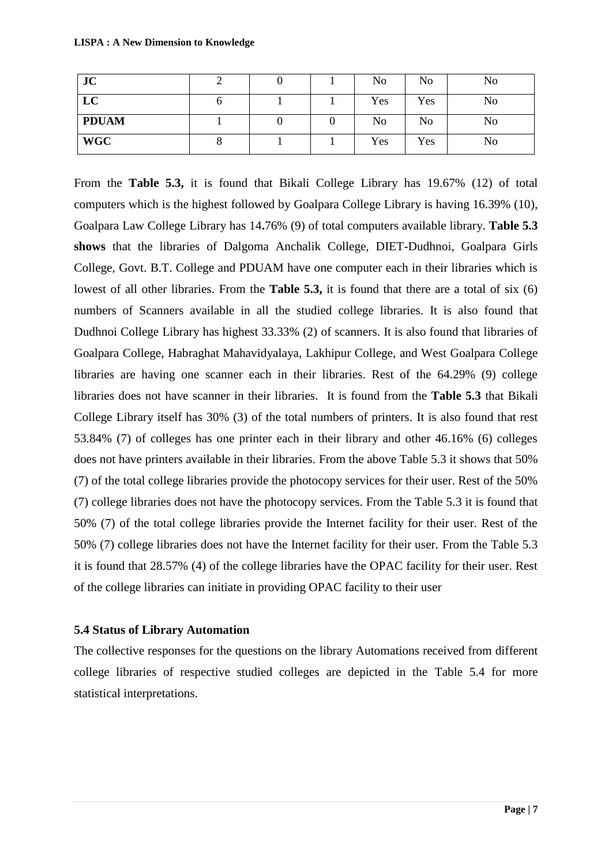| JC           |  | No  | No             | No             |
|--------------|--|-----|----------------|----------------|
| LC           |  | Yes | Yes            | No             |
| <b>PDUAM</b> |  | No  | N <sub>0</sub> | N <sub>0</sub> |
| <b>WGC</b>   |  | Yes | Yes            | No             |

From the **Table 5.3,** it is found that Bikali College Library has 19.67% (12) of total computers which is the highest followed by Goalpara College Library is having 16.39% (10), Goalpara Law College Library has 14**.**76% (9) of total computers available library. **Table 5.3 shows** that the libraries of Dalgoma Anchalik College, DIET-Dudhnoi, Goalpara Girls College, Govt. B.T. College and PDUAM have one computer each in their libraries which is lowest of all other libraries. From the **Table 5.3,** it is found that there are a total of six (6) numbers of Scanners available in all the studied college libraries. It is also found that Dudhnoi College Library has highest 33.33% (2) of scanners. It is also found that libraries of Goalpara College, Habraghat Mahavidyalaya, Lakhipur College, and West Goalpara College libraries are having one scanner each in their libraries. Rest of the 64.29% (9) college libraries does not have scanner in their libraries. It is found from the **Table 5.3** that Bikali College Library itself has 30% (3) of the total numbers of printers. It is also found that rest 53.84% (7) of colleges has one printer each in their library and other 46.16% (6) colleges does not have printers available in their libraries. From the above Table 5.3 it shows that 50% (7) of the total college libraries provide the photocopy services for their user. Rest of the 50% (7) college libraries does not have the photocopy services. From the Table 5.3 it is found that 50% (7) of the total college libraries provide the Internet facility for their user. Rest of the 50% (7) college libraries does not have the Internet facility for their user. From the Table 5.3 it is found that 28.57% (4) of the college libraries have the OPAC facility for their user. Rest of the college libraries can initiate in providing OPAC facility to their user

#### **5.4 Status of Library Automation**

The collective responses for the questions on the library Automations received from different college libraries of respective studied colleges are depicted in the Table 5.4 for more statistical interpretations.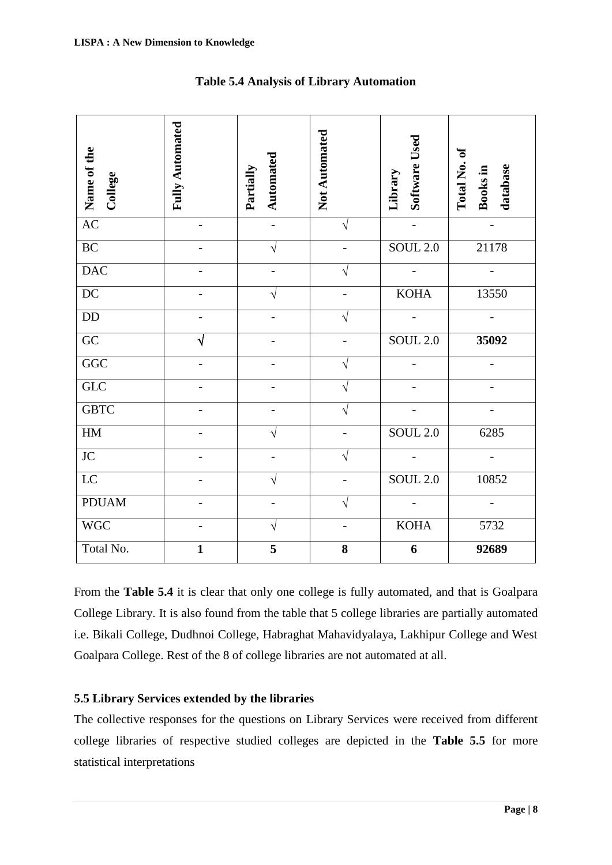| Name of the<br>College                                                                                                                                                                                                                                                                                                                                                                  | <b>Fully Automated</b> | Automated<br>Partially | Not Automated | Software Used<br>Library | ð<br>Total No.<br>database<br>Books in |  |  |  |  |
|-----------------------------------------------------------------------------------------------------------------------------------------------------------------------------------------------------------------------------------------------------------------------------------------------------------------------------------------------------------------------------------------|------------------------|------------------------|---------------|--------------------------|----------------------------------------|--|--|--|--|
| AC                                                                                                                                                                                                                                                                                                                                                                                      |                        |                        | $\sqrt{}$     |                          |                                        |  |  |  |  |
| <b>BC</b>                                                                                                                                                                                                                                                                                                                                                                               |                        |                        |               | <b>SOUL 2.0</b>          | 21178                                  |  |  |  |  |
| <b>DAC</b>                                                                                                                                                                                                                                                                                                                                                                              |                        |                        |               |                          |                                        |  |  |  |  |
| DC                                                                                                                                                                                                                                                                                                                                                                                      |                        |                        |               | <b>KOHA</b>              | 13550                                  |  |  |  |  |
| <b>DD</b>                                                                                                                                                                                                                                                                                                                                                                               |                        |                        | V             |                          |                                        |  |  |  |  |
| GC                                                                                                                                                                                                                                                                                                                                                                                      | $\sqrt{}$              |                        |               | <b>SOUL 2.0</b>          | 35092                                  |  |  |  |  |
| GGC                                                                                                                                                                                                                                                                                                                                                                                     |                        |                        | V             |                          |                                        |  |  |  |  |
| GLC                                                                                                                                                                                                                                                                                                                                                                                     |                        |                        | V             |                          |                                        |  |  |  |  |
| <b>GBTC</b>                                                                                                                                                                                                                                                                                                                                                                             |                        |                        | V             |                          |                                        |  |  |  |  |
| HM                                                                                                                                                                                                                                                                                                                                                                                      |                        |                        |               | <b>SOUL 2.0</b>          | 6285                                   |  |  |  |  |
| <b>JC</b>                                                                                                                                                                                                                                                                                                                                                                               |                        |                        |               |                          |                                        |  |  |  |  |
| <b>LC</b>                                                                                                                                                                                                                                                                                                                                                                               |                        |                        |               | <b>SOUL 2.0</b>          | 10852                                  |  |  |  |  |
| <b>PDUAM</b>                                                                                                                                                                                                                                                                                                                                                                            |                        |                        |               |                          |                                        |  |  |  |  |
| <b>WGC</b>                                                                                                                                                                                                                                                                                                                                                                              |                        | V                      |               | <b>KOHA</b>              | 5732                                   |  |  |  |  |
| Total No.                                                                                                                                                                                                                                                                                                                                                                               | $\mathbf{1}$           | 5                      | 8             | 6                        | 92689                                  |  |  |  |  |
| From the <b>Table 5.4</b> it is clear that only one college is fully automated, and that is Goalpara<br>College Library. It is also found from the table that 5 college libraries are partially automated<br>i.e. Bikali College, Dudhnoi College, Habraghat Mahavidyalaya, Lakhipur College and West<br>Goalpara College. Rest of the 8 of college libraries are not automated at all. |                        |                        |               |                          |                                        |  |  |  |  |
| 5.5 Library Services extended by the libraries<br>The collective responses for the questions on Library Services were received from different                                                                                                                                                                                                                                           |                        |                        |               |                          |                                        |  |  |  |  |
| college libraries of respective studied colleges are depicted in the Table 5.5 for more                                                                                                                                                                                                                                                                                                 |                        |                        |               |                          |                                        |  |  |  |  |
| statistical interpretations                                                                                                                                                                                                                                                                                                                                                             |                        |                        |               |                          |                                        |  |  |  |  |

### **Table 5.4 Analysis of Library Automation**

# **5.5 Library Services extended by the libraries**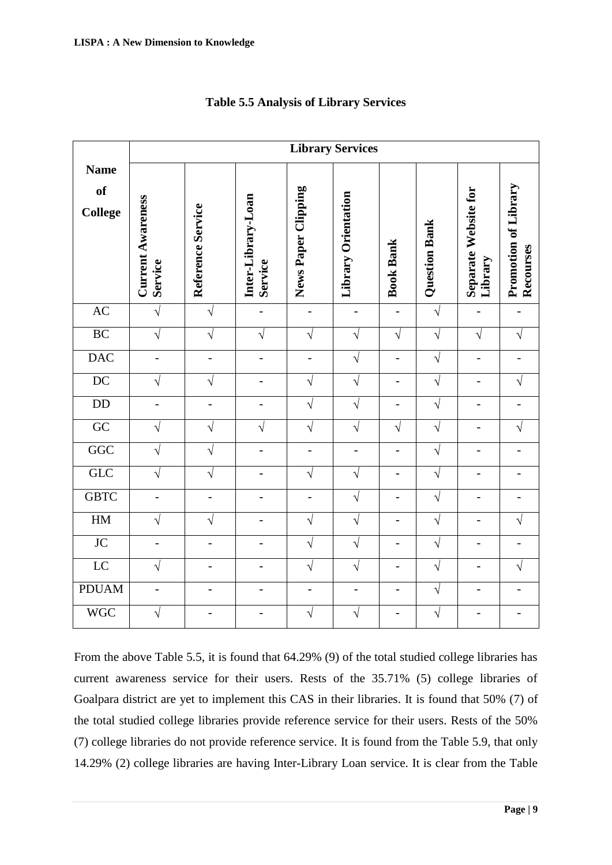|                              | <b>Library Services</b>             |                   |                               |                          |                          |                  |               |                                 |                                   |  |
|------------------------------|-------------------------------------|-------------------|-------------------------------|--------------------------|--------------------------|------------------|---------------|---------------------------------|-----------------------------------|--|
| <b>Name</b><br>of<br>College | <b>Current Awareness</b><br>Service | Reference Service | Inter-Library-Loan<br>Service | News Paper Clipping      | Library Orientation      | <b>Book Bank</b> | Question Bank | Separate Website for<br>Library | Promotion of Library<br>Recourses |  |
| AC                           | $\sqrt{}$                           | $\sqrt{}$         | $\overline{\phantom{a}}$      | $\overline{\phantom{a}}$ | $\frac{1}{2}$            | $\overline{a}$   | $\sqrt{}$     | $\overline{a}$                  | $\overline{\phantom{a}}$          |  |
| BC                           | $\sqrt{}$                           | $\sqrt{}$         | $\sqrt{}$                     | $\sqrt{}$                | $\sqrt{}$                | $\sqrt{}$        | $\sqrt{}$     | $\sqrt{}$                       | $\sqrt{ }$                        |  |
| <b>DAC</b>                   | $\overline{a}$                      | $\overline{a}$    | $\overline{a}$                | $\overline{a}$           | $\sqrt{}$                | $\overline{a}$   | $\sqrt{}$     | $\overline{a}$                  | $\overline{a}$                    |  |
| DC                           | $\sqrt{}$                           | V                 | $\overline{a}$                | $\sqrt{}$                | $\sqrt{}$                | $\overline{a}$   | $\sqrt{}$     |                                 | $\sqrt{}$                         |  |
| $\rm{DD}$                    |                                     |                   | $\overline{a}$                | $\sqrt{}$                | $\sqrt{}$                |                  | $\sqrt{}$     |                                 |                                   |  |
| $\overline{GC}$              | V                                   | V                 | $\sqrt{}$                     | $\sqrt{}$                | $\sqrt{}$                | $\sqrt{}$        | $\sqrt{}$     | $\overline{a}$                  | $\sqrt{}$                         |  |
| GGC                          | $\sqrt{}$                           | $\sqrt{}$         | $\blacksquare$                | $\overline{\phantom{0}}$ | $\overline{a}$           | $\overline{a}$   | $\sqrt{}$     | $\overline{a}$                  | $\overline{\phantom{a}}$          |  |
| GLC                          | $\sqrt{}$                           | V                 |                               | $\sqrt{2}$               | $\sqrt{}$                | $\overline{a}$   | $\sqrt{}$     |                                 | $\qquad \qquad -$                 |  |
| <b>GBTC</b>                  |                                     | -                 |                               | -                        | $\sqrt{}$                |                  | $\sqrt{}$     |                                 |                                   |  |
| HM                           | V                                   | V                 | $\overline{\phantom{0}}$      | $\sqrt{}$                | $\sqrt{}$                |                  | $\sqrt{}$     | $\overline{a}$                  | $\sqrt{}$                         |  |
| $\overline{JC}$              | $\overline{a}$                      | $\overline{a}$    | $\overline{a}$                | $\sqrt{}$                | $\sqrt{}$                |                  | $\sqrt{}$     | $\overline{a}$                  | $\overline{\phantom{0}}$          |  |
| $\overline{LC}$              | $\sqrt{}$                           | $\overline{a}$    | $\overline{a}$                | $\sqrt{}$                | $\sqrt{}$                | $\overline{a}$   | $\sqrt{}$     | $\overline{a}$                  | $\sqrt{}$                         |  |
| <b>PDUAM</b>                 | $\overline{a}$                      | -                 | $\overline{\phantom{0}}$      | $\overline{a}$           | $\overline{\phantom{0}}$ |                  | $\sqrt{}$     |                                 | $\overline{\phantom{0}}$          |  |
| <b>WGC</b>                   | $\sqrt{}$                           |                   |                               | $\sqrt{ }$               | $\sqrt{}$                |                  | $\sqrt{}$     |                                 |                                   |  |

### **Table 5.5 Analysis of Library Services**

From the above Table 5.5, it is found that 64.29% (9) of the total studied college libraries has current awareness service for their users. Rests of the 35.71% (5) college libraries of Goalpara district are yet to implement this CAS in their libraries. It is found that 50% (7) of the total studied college libraries provide reference service for their users. Rests of the 50% (7) college libraries do not provide reference service. It is found from the Table 5.9, that only 14.29% (2) college libraries are having Inter-Library Loan service. It is clear from the Table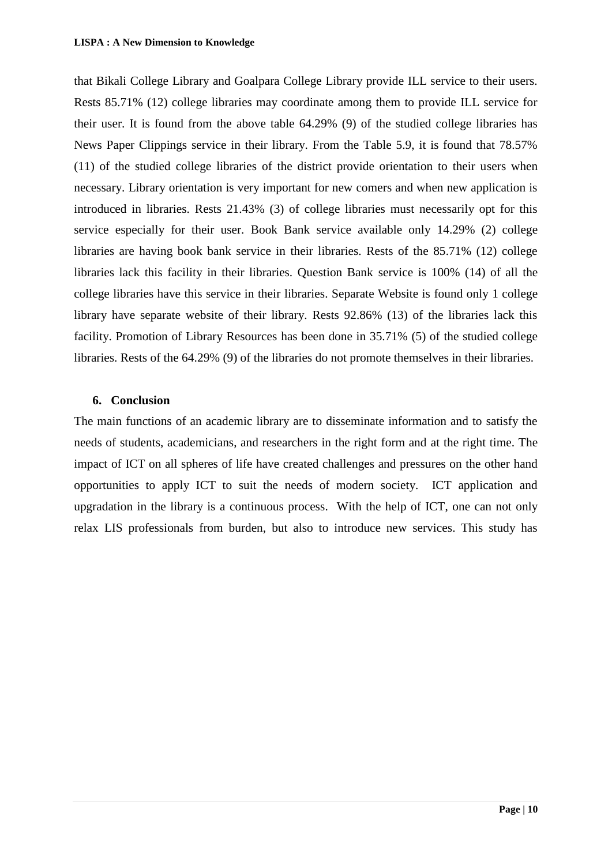that Bikali College Library and Goalpara College Library provide ILL service to their users. Rests 85.71% (12) college libraries may coordinate among them to provide ILL service for their user. It is found from the above table 64.29% (9) of the studied college libraries has News Paper Clippings service in their library. From the Table 5.9, it is found that 78.57% (11) of the studied college libraries of the district provide orientation to their users when necessary. Library orientation is very important for new comers and when new application is introduced in libraries. Rests 21.43% (3) of college libraries must necessarily opt for this service especially for their user. Book Bank service available only 14.29% (2) college libraries are having book bank service in their libraries. Rests of the 85.71% (12) college libraries lack this facility in their libraries. Question Bank service is 100% (14) of all the college libraries have this service in their libraries. Separate Website is found only 1 college library have separate website of their library. Rests 92.86% (13) of the libraries lack this facility. Promotion of Library Resources has been done in 35.71% (5) of the studied college libraries. Rests of the 64.29% (9) of the libraries do not promote themselves in their libraries.

#### **6. Conclusion**

The main functions of an academic library are to disseminate information and to satisfy the needs of students, academicians, and researchers in the right form and at the right time. The impact of ICT on all spheres of life have created challenges and pressures on the other hand opportunities to apply ICT to suit the needs of modern society. ICT application and upgradation in the library is a continuous process. With the help of ICT, one can not only relax LIS professionals from burden, but also to introduce new services. This study has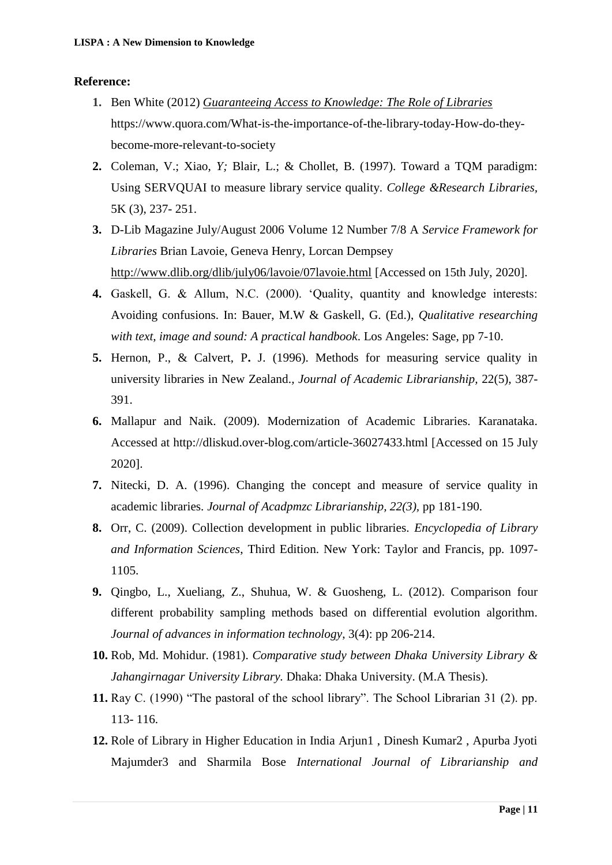#### **Reference:**

- **1.** Ben White (2012) *[Guaranteeing Access to Knowledge: The Role of Libraries](http://www.wipo.int/wipo_magazine/en/2012/04/article_0004.html)* https://www.quora.com/What-is-the-importance-of-the-library-today-How-do-theybecome-more-relevant-to-society
- **2.** Coleman, V.; Xiao, *Y;* Blair, L.; & Chollet, B. (1997). Toward a TQM paradigm: Using SERVQUAI to measure library service quality. *College &Research Libraries,*  5K (3), 237- 251.
- **3.** D-Lib Magazine July/August 2006 Volume 12 Number 7/8 A *Service Framework for Libraries* Brian Lavoie, Geneva Henry, Lorcan Dempsey <http://www.dlib.org/dlib/july06/lavoie/07lavoie.html> [Accessed on 15th July, 2020].
- **4.** Gaskell, G. & Allum, N.C. (2000). "Quality, quantity and knowledge interests: Avoiding confusions. In: Bauer, M.W & Gaskell, G. (Ed.), *Qualitative researching with text, image and sound: A practical handbook*. Los Angeles: Sage, pp 7-10.
- **5.** Hernon, P., & Calvert, P**.** J. (1996). Methods for measuring service quality in university libraries in New Zealand.*, Journal of Academic Librarianship,* 22(5), 387- 391.
- **6.** Mallapur and Naik. (2009). Modernization of Academic Libraries. Karanataka. Accessed at http://dliskud.over-blog.com/article-36027433.html [Accessed on 15 July 2020].
- **7.** Nitecki, D. A. (1996). Changing the concept and measure of service quality in academic libraries. *Journal of Acadpmzc Librarianship, 22(3),* pp 181-190.
- **8.** Orr, C. (2009). Collection development in public libraries. *Encyclopedia of Library and Information Sciences*, Third Edition. New York: Taylor and Francis, pp. 1097- 1105.
- **9.** Qingbo, L., Xueliang, Z., Shuhua, W. & Guosheng, L. (2012). Comparison four different probability sampling methods based on differential evolution algorithm. *Journal of advances in information technology*, 3(4): pp 206-214.
- **10.** Rob, Md. Mohidur. (1981). *Comparative study between Dhaka University Library & Jahangirnagar University Library.* Dhaka: Dhaka University. (M.A Thesis).
- **11.** Ray C. (1990) "The pastoral of the school library". The School Librarian 31 (2). pp. 113- 116.
- **12.** Role of Library in Higher Education in India Arjun1 , Dinesh Kumar2 , Apurba Jyoti Majumder3 and Sharmila Bose *International Journal of Librarianship and*